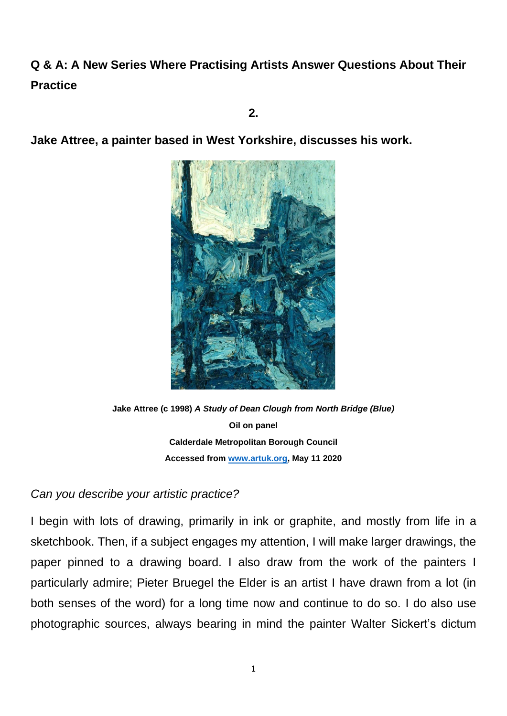# **Q & A: A New Series Where Practising Artists Answer Questions About Their Practice**

**2.**

**Jake Attree, a painter based in West Yorkshire, discusses his work.**



**Jake Attree (c 1998)** *A Study of Dean Clough from North Bridge (Blue)* **Oil on panel Calderdale Metropolitan Borough Council Accessed from [www.artuk.org,](http://www.artuk.org/) May 11 2020**

## *Can you describe your artistic practice?*

I begin with lots of drawing, primarily in ink or graphite, and mostly from life in a sketchbook. Then, if a subject engages my attention, I will make larger drawings, the paper pinned to a drawing board. I also draw from the work of the painters I particularly admire; Pieter Bruegel the Elder is an artist I have drawn from a lot (in both senses of the word) for a long time now and continue to do so. I do also use photographic sources, always bearing in mind the painter Walter Sickert's dictum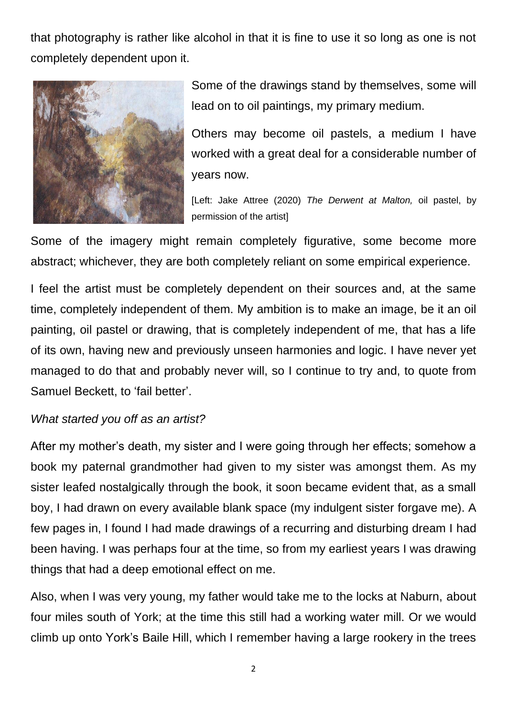that photography is rather like alcohol in that it is fine to use it so long as one is not completely dependent upon it.



Some of the drawings stand by themselves, some will lead on to oil paintings, my primary medium.

Others may become oil pastels, a medium I have worked with a great deal for a considerable number of years now.

[Left: Jake Attree (2020) *The Derwent at Malton,* oil pastel, by permission of the artist]

Some of the imagery might remain completely figurative, some become more abstract; whichever, they are both completely reliant on some empirical experience.

I feel the artist must be completely dependent on their sources and, at the same time, completely independent of them. My ambition is to make an image, be it an oil painting, oil pastel or drawing, that is completely independent of me, that has a life of its own, having new and previously unseen harmonies and logic. I have never yet managed to do that and probably never will, so I continue to try and, to quote from Samuel Beckett, to 'fail better'.

## *What started you off as an artist?*

After my mother's death, my sister and I were going through her effects; somehow a book my paternal grandmother had given to my sister was amongst them. As my sister leafed nostalgically through the book, it soon became evident that, as a small boy, I had drawn on every available blank space (my indulgent sister forgave me). A few pages in, I found I had made drawings of a recurring and disturbing dream I had been having. I was perhaps four at the time, so from my earliest years I was drawing things that had a deep emotional effect on me.

Also, when I was very young, my father would take me to the locks at Naburn, about four miles south of York; at the time this still had a working water mill. Or we would climb up onto York's Baile Hill, which I remember having a large rookery in the trees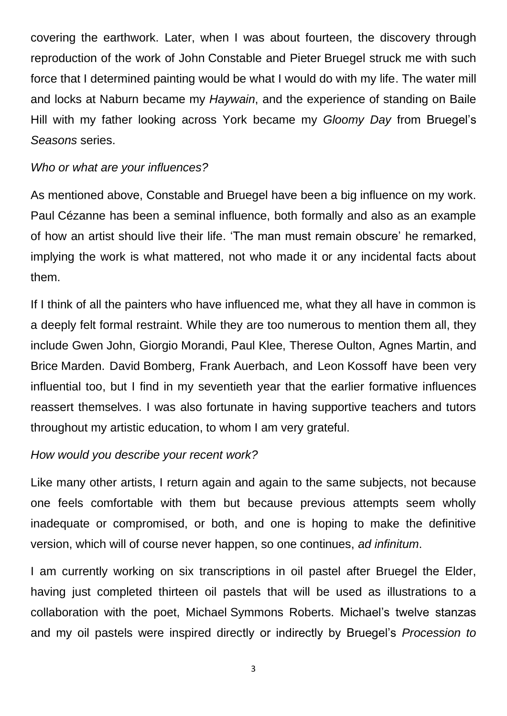covering the earthwork. Later, when I was about fourteen, the discovery through reproduction of the work of John Constable and Pieter Bruegel struck me with such force that I determined painting would be what I would do with my life. The water mill and locks at Naburn became my *Haywain*, and the experience of standing on Baile Hill with my father looking across York became my *Gloomy Day* from Bruegel's *Seasons* series.

#### *Who or what are your influences?*

As mentioned above, Constable and Bruegel have been a big influence on my work. Paul Cézanne has been a seminal influence, both formally and also as an example of how an artist should live their life. 'The man must remain obscure' he remarked, implying the work is what mattered, not who made it or any incidental facts about them.

If I think of all the painters who have influenced me, what they all have in common is a deeply felt formal restraint. While they are too numerous to mention them all, they include Gwen John, Giorgio Morandi, Paul Klee, Therese Oulton, Agnes Martin, and Brice Marden. David Bomberg, Frank Auerbach, and Leon Kossoff have been very influential too, but I find in my seventieth year that the earlier formative influences reassert themselves. I was also fortunate in having supportive teachers and tutors throughout my artistic education, to whom I am very grateful.

#### *How would you describe your recent work?*

Like many other artists, I return again and again to the same subjects, not because one feels comfortable with them but because previous attempts seem wholly inadequate or compromised, or both, and one is hoping to make the definitive version, which will of course never happen, so one continues, *ad infinitum*.

I am currently working on six transcriptions in oil pastel after Bruegel the Elder, having just completed thirteen oil pastels that will be used as illustrations to a collaboration with the poet, Michael Symmons Roberts. Michael's twelve stanzas and my oil pastels were inspired directly or indirectly by Bruegel's *Procession to*